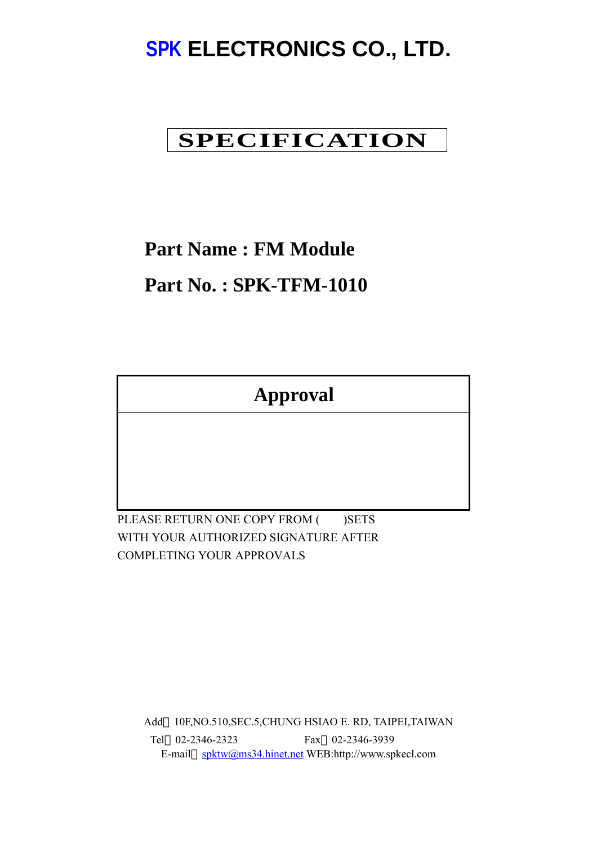# **SPK ELECTRONICS CO., LTD.**

## **SPECIFICATION**

### **Part Name : FM Module**

### **Part No. : SPK-TFM-1010**

**Approval**

PLEASE RETURN ONE COPY FROM ( )SETS WITH YOUR AUTHORIZED SIGNATURE AFTER COMPLETING YOUR APPROVALS

Add 10F,NO.510,SEC.5,CHUNG HSIAO E. RD, TAIPEI,TAIWAN Tel 02-2346-2323 Fax 02-2346-3939 E-mail spktw@ms34.hinet.net WEB:http://www.spkecl.com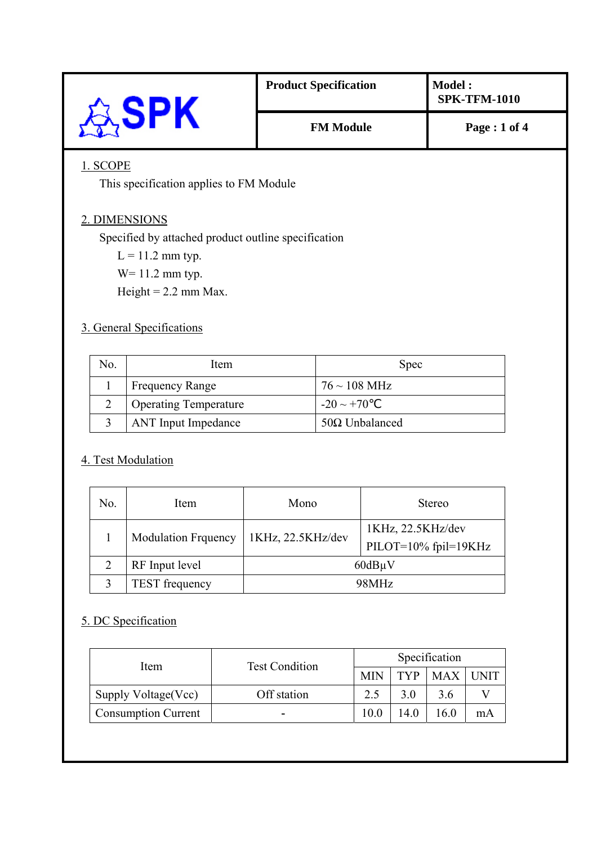|                                                     | <b>Product Specification</b> | <b>Model:</b><br><b>SPK-TFM-1010</b> |  |  |
|-----------------------------------------------------|------------------------------|--------------------------------------|--|--|
| ಧ್ಸSPK                                              | <b>FM Module</b>             | Page: 1 of 4                         |  |  |
| 1. SCOPE                                            |                              |                                      |  |  |
| This specification applies to FM Module             |                              |                                      |  |  |
| 2. DIMENSIONS                                       |                              |                                      |  |  |
| Specified by attached product outline specification |                              |                                      |  |  |
| $L = 11.2$ mm typ.                                  |                              |                                      |  |  |
| $W = 11.2$ mm typ.                                  |                              |                                      |  |  |
| Height = $2.2$ mm Max.                              |                              |                                      |  |  |
| 3. General Specifications                           |                              |                                      |  |  |

| No. | Item                         | <b>Spec</b>               |
|-----|------------------------------|---------------------------|
|     | <b>Frequency Range</b>       | $76 \sim 108 \text{ MHz}$ |
|     | <b>Operating Temperature</b> | $-20 \sim +70$            |
|     | <b>ANT</b> Input Impedance   | $50\Omega$ Unbalanced     |

#### 4. Test Modulation

| No.               | Item                       | Mono              | <b>Stereo</b>                             |  |
|-------------------|----------------------------|-------------------|-------------------------------------------|--|
|                   | <b>Modulation Frquency</b> | 1KHz, 22.5KHz/dev | 1KHz, 22.5KHz/dev<br>PILOT=10% fpil=19KHz |  |
|                   | RF Input level             | $60dB\mu V$       |                                           |  |
| $\mathbf{\Omega}$ | <b>TEST</b> frequency      | 98MHz             |                                           |  |

#### 5. DC Specification

| Item                       | <b>Test Condition</b> | Specification |     |            |    |
|----------------------------|-----------------------|---------------|-----|------------|----|
|                            |                       | <b>MIN</b>    | TVP | <b>MAX</b> |    |
| Supply Voltage (Vcc)       | Off station           |               |     | 3.6        |    |
| <b>Consumption Current</b> | $\blacksquare$        | 10.0          |     | -60        | mA |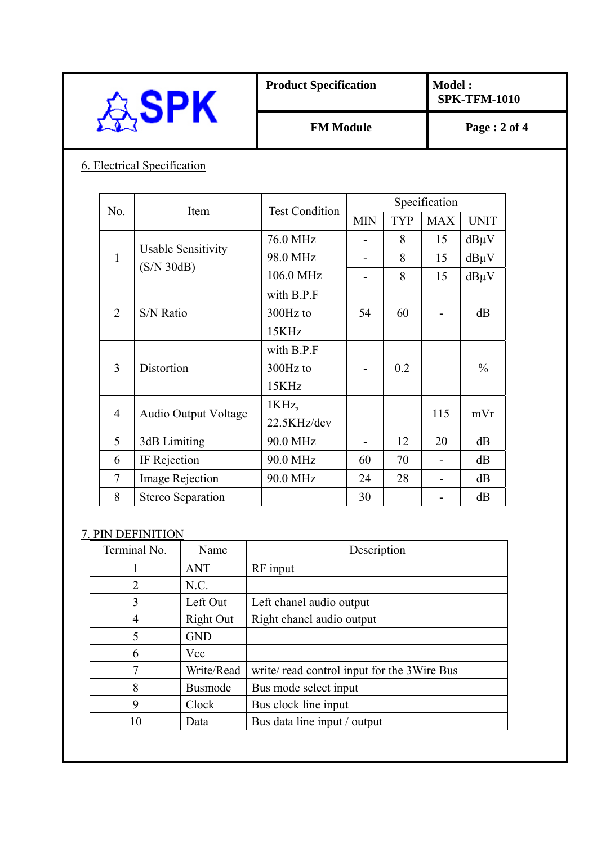|                             |                             |                           | <b>Product Specification</b>    |                |               | <b>Model:</b>  | <b>SPK-TFM-1010</b> |  |
|-----------------------------|-----------------------------|---------------------------|---------------------------------|----------------|---------------|----------------|---------------------|--|
| <b>SPK</b>                  |                             | <b>FM Module</b>          |                                 |                |               | Page: 2 of 4   |                     |  |
| 6. Electrical Specification |                             |                           |                                 |                |               |                |                     |  |
|                             |                             |                           |                                 |                | Specification |                |                     |  |
| No.                         |                             | Item                      | <b>Test Condition</b>           | <b>MIN</b>     | <b>TYP</b>    | <b>MAX</b>     | <b>UNIT</b>         |  |
|                             |                             |                           | 76.0 MHz                        |                | 8             | 15             | $dB\mu V$           |  |
| $\mathbf{1}$                |                             | <b>Usable Sensitivity</b> | 98.0 MHz                        | ÷.             | 8             | 15             | $dB\mu V$           |  |
|                             | (S/N 30dB)                  |                           | 106.0 MHz                       | $\overline{a}$ | 8             | 15             | $dB\mu V$           |  |
| $\overline{2}$              | S/N Ratio                   |                           | with B.P.F<br>300Hz to<br>15KHz | 54             | 60            |                | dB                  |  |
| 3                           | Distortion                  |                           | with B.P.F<br>300Hz to<br>15KHz |                | 0.2           |                | $\frac{0}{0}$       |  |
| $\overline{4}$              | <b>Audio Output Voltage</b> |                           | 1KHz,<br>22.5KHz/dev            |                |               | 115            | mVr                 |  |
| 5                           | 3dB Limiting                |                           | 90.0 MHz                        |                | 12            | 20             | dB                  |  |
| 6                           | IF Rejection                |                           | 90.0 MHz                        | 60             | 70            |                | dB                  |  |
| $\overline{7}$              | Image Rejection             |                           | 90.0 MHz                        | 24             | 28            | $\overline{a}$ | dB                  |  |
| 8                           | Stereo Separation           |                           |                                 | 30             |               | $\blacksquare$ | dB                  |  |

| TUHIIIIIAI TVU. | TVALLIC        | DUSUIPHUIL                                  |
|-----------------|----------------|---------------------------------------------|
|                 | <b>ANT</b>     | RF input                                    |
| $\overline{2}$  | N.C.           |                                             |
| 3               | Left Out       | Left chanel audio output                    |
| 4               | Right Out      | Right chanel audio output                   |
| 5               | <b>GND</b>     |                                             |
| 6               | Vcc            |                                             |
| 7               | Write/Read     | write/ read control input for the 3Wire Bus |
| 8               | <b>Busmode</b> | Bus mode select input                       |
| 9               | Clock          | Bus clock line input                        |
| 10              | Data           | Bus data line input / output                |
|                 |                |                                             |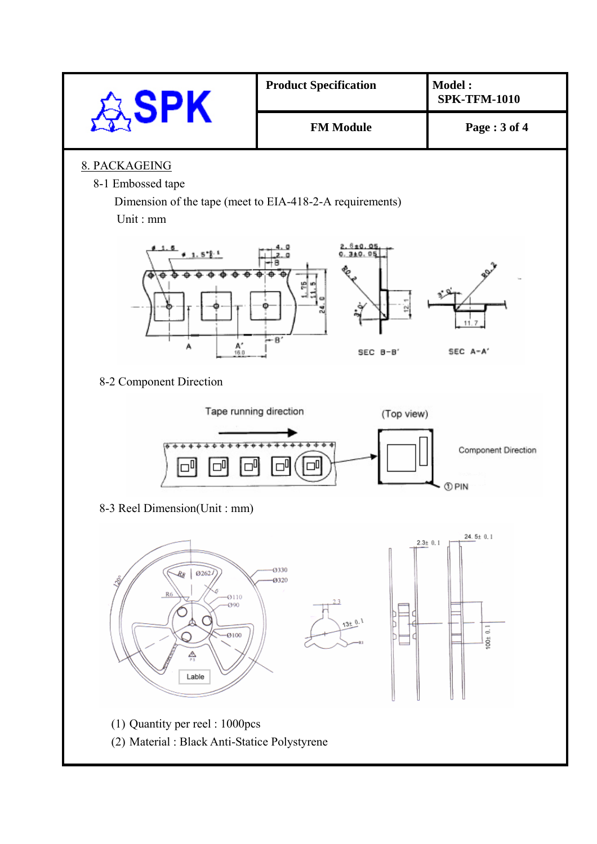